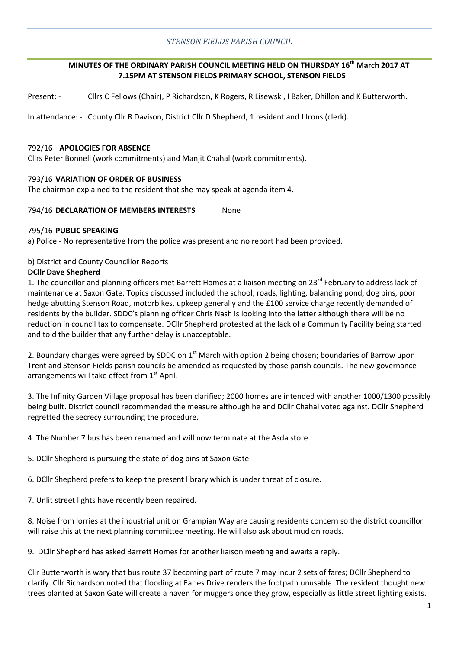## *STENSON FIELDS PARISH COUNCIL*

# **MINUTES OF THE ORDINARY PARISH COUNCIL MEETING HELD ON THURSDAY 16th March 2017 AT 7.15PM AT STENSON FIELDS PRIMARY SCHOOL, STENSON FIELDS**

Present: - Cllrs C Fellows (Chair), P Richardson, K Rogers, R Lisewski, I Baker, Dhillon and K Butterworth.

In attendance: - County Cllr R Davison, District Cllr D Shepherd, 1 resident and J Irons (clerk).

## 792/16 **APOLOGIES FOR ABSENCE**

Cllrs Peter Bonnell (work commitments) and Manjit Chahal (work commitments).

### 793/16 **VARIATION OF ORDER OF BUSINESS**

The chairman explained to the resident that she may speak at agenda item 4.

## 794/16 **DECLARATION OF MEMBERS INTERESTS** None

### 795/16 **PUBLIC SPEAKING**

a) Police - No representative from the police was present and no report had been provided.

### b) District and County Councillor Reports

### **DCllr Dave Shepherd**

1. The councillor and planning officers met Barrett Homes at a liaison meeting on 23<sup>rd</sup> February to address lack of maintenance at Saxon Gate. Topics discussed included the school, roads, lighting, balancing pond, dog bins, poor hedge abutting Stenson Road, motorbikes, upkeep generally and the £100 service charge recently demanded of residents by the builder. SDDC's planning officer Chris Nash is looking into the latter although there will be no reduction in council tax to compensate. DCllr Shepherd protested at the lack of a Community Facility being started and told the builder that any further delay is unacceptable.

2. Boundary changes were agreed by SDDC on 1<sup>st</sup> March with option 2 being chosen; boundaries of Barrow upon Trent and Stenson Fields parish councils be amended as requested by those parish councils. The new governance arrangements will take effect from 1<sup>st</sup> April.

3. The Infinity Garden Village proposal has been clarified; 2000 homes are intended with another 1000/1300 possibly being built. District council recommended the measure although he and DCllr Chahal voted against. DCllr Shepherd regretted the secrecy surrounding the procedure.

4. The Number 7 bus has been renamed and will now terminate at the Asda store.

5. DCllr Shepherd is pursuing the state of dog bins at Saxon Gate.

6. DCllr Shepherd prefers to keep the present library which is under threat of closure.

7. Unlit street lights have recently been repaired.

8. Noise from lorries at the industrial unit on Grampian Way are causing residents concern so the district councillor will raise this at the next planning committee meeting. He will also ask about mud on roads.

9. DCllr Shepherd has asked Barrett Homes for another liaison meeting and awaits a reply.

Cllr Butterworth is wary that bus route 37 becoming part of route 7 may incur 2 sets of fares; DCllr Shepherd to clarify. Cllr Richardson noted that flooding at Earles Drive renders the footpath unusable. The resident thought new trees planted at Saxon Gate will create a haven for muggers once they grow, especially as little street lighting exists.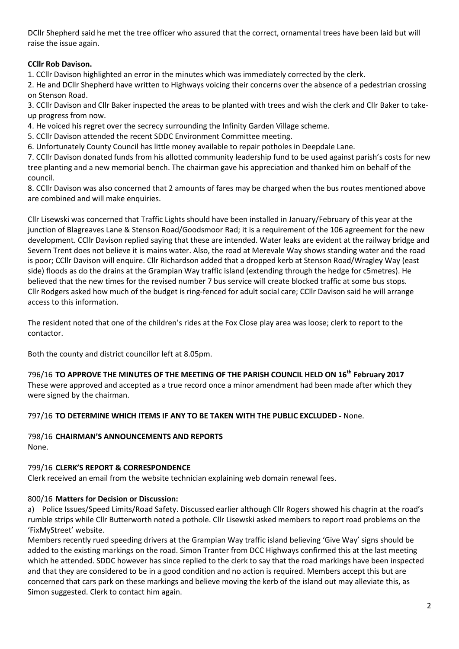DCllr Shepherd said he met the tree officer who assured that the correct, ornamental trees have been laid but will raise the issue again.

# **CCllr Rob Davison.**

1. CCllr Davison highlighted an error in the minutes which was immediately corrected by the clerk.

2. He and DCllr Shepherd have written to Highways voicing their concerns over the absence of a pedestrian crossing on Stenson Road.

3. CCllr Davison and Cllr Baker inspected the areas to be planted with trees and wish the clerk and Cllr Baker to takeup progress from now.

4. He voiced his regret over the secrecy surrounding the Infinity Garden Village scheme.

5. CCllr Davison attended the recent SDDC Environment Committee meeting.

6. Unfortunately County Council has little money available to repair potholes in Deepdale Lane.

7. CCllr Davison donated funds from his allotted community leadership fund to be used against parish's costs for new tree planting and a new memorial bench. The chairman gave his appreciation and thanked him on behalf of the council.

8. CCllr Davison was also concerned that 2 amounts of fares may be charged when the bus routes mentioned above are combined and will make enquiries.

Cllr Lisewski was concerned that Traffic Lights should have been installed in January/February of this year at the junction of Blagreaves Lane & Stenson Road/Goodsmoor Rad; it is a requirement of the 106 agreement for the new development. CCllr Davison replied saying that these are intended. Water leaks are evident at the railway bridge and Severn Trent does not believe it is mains water. Also, the road at Merevale Way shows standing water and the road is poor; CCllr Davison will enquire. Cllr Richardson added that a dropped kerb at Stenson Road/Wragley Way (east side) floods as do the drains at the Grampian Way traffic island (extending through the hedge for c5metres). He believed that the new times for the revised number 7 bus service will create blocked traffic at some bus stops. Cllr Rodgers asked how much of the budget is ring-fenced for adult social care; CCllr Davison said he will arrange access to this information.

The resident noted that one of the children's rides at the Fox Close play area was loose; clerk to report to the contactor.

Both the county and district councillor left at 8.05pm.

796/16 **TO APPROVE THE MINUTES OF THE MEETING OF THE PARISH COUNCIL HELD ON 16th February 2017** These were approved and accepted as a true record once a minor amendment had been made after which they were signed by the chairman.

797/16 **TO DETERMINE WHICH ITEMS IF ANY TO BE TAKEN WITH THE PUBLIC EXCLUDED -** None.

798/16 **CHAIRMAN'S ANNOUNCEMENTS AND REPORTS** None.

# 799/16 **CLERK'S REPORT & CORRESPONDENCE**

Clerk received an email from the website technician explaining web domain renewal fees.

# 800/16 **Matters for Decision or Discussion:**

a) Police Issues/Speed Limits/Road Safety. Discussed earlier although Cllr Rogers showed his chagrin at the road's rumble strips while Cllr Butterworth noted a pothole. Cllr Lisewski asked members to report road problems on the 'FixMyStreet' website.

Members recently rued speeding drivers at the Grampian Way traffic island believing 'Give Way' signs should be added to the existing markings on the road. Simon Tranter from DCC Highways confirmed this at the last meeting which he attended. SDDC however has since replied to the clerk to say that the road markings have been inspected and that they are considered to be in a good condition and no action is required. Members accept this but are concerned that cars park on these markings and believe moving the kerb of the island out may alleviate this, as Simon suggested. Clerk to contact him again.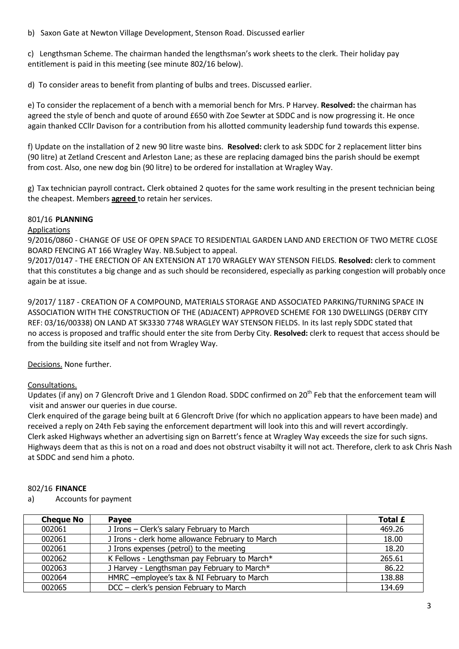b) Saxon Gate at Newton Village Development, Stenson Road. Discussed earlier

c) Lengthsman Scheme. The chairman handed the lengthsman's work sheets to the clerk. Their holiday pay entitlement is paid in this meeting (see minute 802/16 below).

d) To consider areas to benefit from planting of bulbs and trees. Discussed earlier.

e) To consider the replacement of a bench with a memorial bench for Mrs. P Harvey. **Resolved:** the chairman has agreed the style of bench and quote of around £650 with Zoe Sewter at SDDC and is now progressing it. He once again thanked CCllr Davison for a contribution from his allotted community leadership fund towards this expense.

f) Update on the installation of 2 new 90 litre waste bins. **Resolved:** clerk to ask SDDC for 2 replacement litter bins (90 litre) at Zetland Crescent and Arleston Lane; as these are replacing damaged bins the parish should be exempt from cost. Also, one new dog bin (90 litre) to be ordered for installation at Wragley Way.

g) Tax technician payroll contract**.** Clerk obtained 2 quotes for the same work resulting in the present technician being the cheapest. Members **agreed** to retain her services.

# 801/16 **PLANNING**

## Applications

9/2016/0860 - CHANGE OF USE OF OPEN SPACE TO RESIDENTIAL GARDEN LAND AND ERECTION OF TWO METRE CLOSE BOARD FENCING AT 166 Wragley Way. NB.Subject to appeal.

9/2017/0147 - THE ERECTION OF AN EXTENSION AT 170 WRAGLEY WAY STENSON FIELDS. **Resolved:** clerk to comment that this constitutes a big change and as such should be reconsidered, especially as parking congestion will probably once again be at issue.

9/2017/ 1187 - CREATION OF A COMPOUND, MATERIALS STORAGE AND ASSOCIATED PARKING/TURNING SPACE IN ASSOCIATION WITH THE CONSTRUCTION OF THE (ADJACENT) APPROVED SCHEME FOR 130 DWELLINGS (DERBY CITY REF: 03/16/00338) ON LAND AT SK3330 7748 WRAGLEY WAY STENSON FIELDS. In its last reply SDDC stated that no access is proposed and traffic should enter the site from Derby City. **Resolved:** clerk to request that access should be from the building site itself and not from Wragley Way.

Decisions. None further.

# Consultations.

Updates (if any) on 7 Glencroft Drive and 1 Glendon Road. SDDC confirmed on 20<sup>th</sup> Feb that the enforcement team will visit and answer our queries in due course.

Clerk enquired of the garage being built at 6 Glencroft Drive (for which no application appears to have been made) and received a reply on 24th Feb saying the enforcement department will look into this and will revert accordingly. Clerk asked Highways whether an advertising sign on Barrett's fence at Wragley Way exceeds the size for such signs. Highways deem that as this is not on a road and does not obstruct visabilty it will not act. Therefore, clerk to ask Chris Nash at SDDC and send him a photo.

## 802/16 **FINANCE**

## a) Accounts for payment

| <b>Cheque No</b> | <b>Pavee</b>                                     | Total £ |
|------------------|--------------------------------------------------|---------|
| 002061           | J Irons - Clerk's salary February to March       | 469.26  |
| 002061           | J Irons - clerk home allowance February to March | 18.00   |
| 002061           | J Irons expenses (petrol) to the meeting         | 18.20   |
| 002062           | K Fellows - Lengthsman pay February to March*    | 265.61  |
| 002063           | J Harvey - Lengthsman pay February to March*     | 86.22   |
| 002064           | HMRC -employee's tax & NI February to March      | 138.88  |
| 002065           | DCC - clerk's pension February to March          | 134.69  |